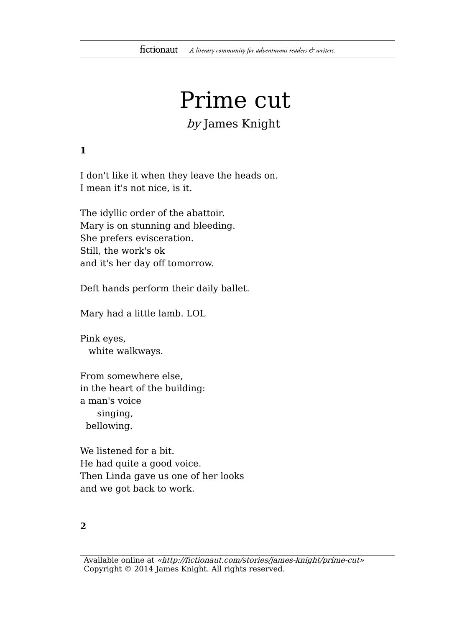# Prime cut

# by James Knight

### **1**

I don't like it when they leave the heads on. I mean it's not nice, is it.

The idyllic order of the abattoir. Mary is on stunning and bleeding. She prefers evisceration. Still, the work's ok and it's her day off tomorrow.

Deft hands perform their daily ballet.

Mary had a little lamb. LOL

Pink eyes, white walkways.

From somewhere else, in the heart of the building: a man's voice singing, bellowing.

We listened for a bit. He had quite a good voice. Then Linda gave us one of her looks and we got back to work.

#### **2**

Available online at «http://fictionaut.com/stories/james-knight/prime-cut» Copyright © 2014 James Knight. All rights reserved.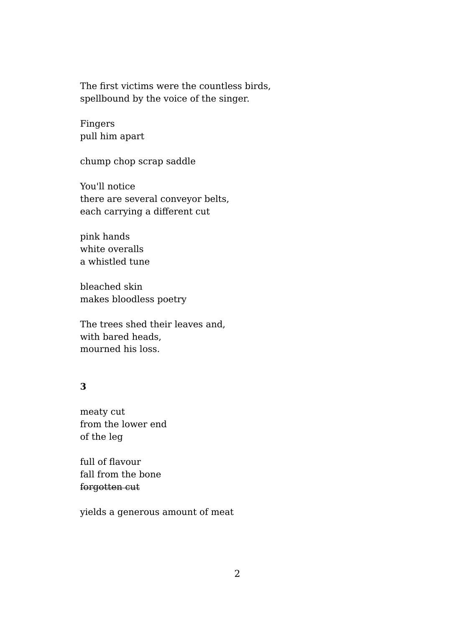The first victims were the countless birds, spellbound by the voice of the singer.

Fingers pull him apart

chump chop scrap saddle

You'll notice there are several conveyor belts, each carrying a different cut

pink hands white overalls a whistled tune

bleached skin makes bloodless poetry

The trees shed their leaves and, with bared heads, mourned his loss.

#### **3**

meaty cut from the lower end of the leg

full of flavour fall from the bone forgotten cut

yields a generous amount of meat